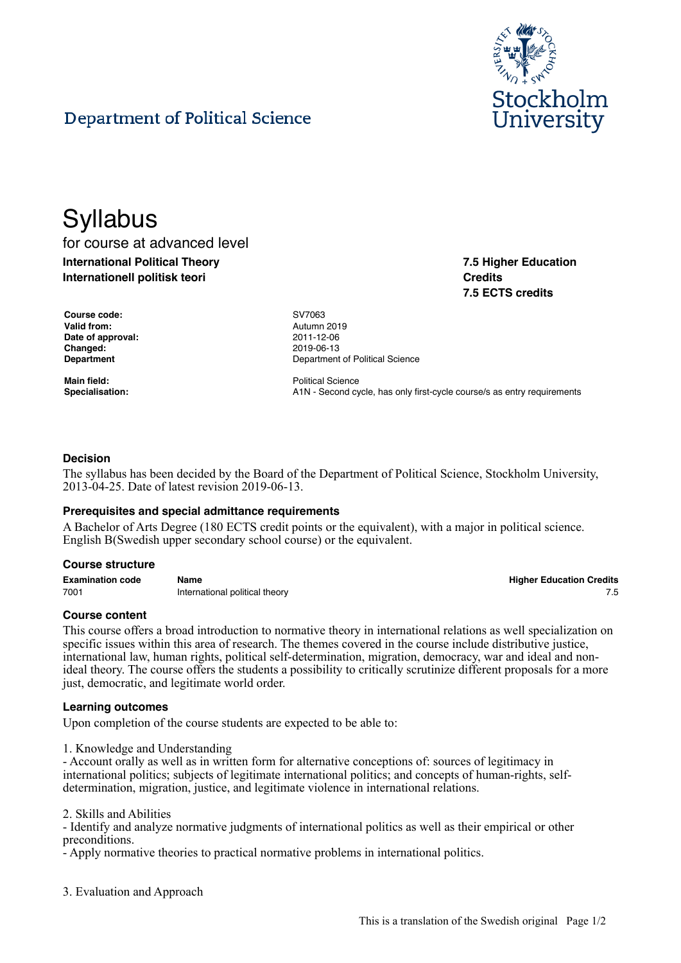

**7.5 Higher Education**

**7.5 ECTS credits**

**Credits**

# Department of Political Science

# **Syllabus**

for course at advanced level **International Political Theory Internationell politisk teori**

**Course code:** SV7063 **Valid from:** Autumn 2019 **Date of approval:** 2011-12-06 **Changed:** 2019-06-13

**Department** Department **Department** Of Political Science

**Main field:** Political Science Specialisation: **A1N** - Second cycle, has only first-cycle course/s as entry requirements

## **Decision**

The syllabus has been decided by the Board of the Department of Political Science, Stockholm University, 2013-04-25. Date of latest revision 2019-06-13.

## **Prerequisites and special admittance requirements**

A Bachelor of Arts Degree (180 ECTS credit points or the equivalent), with a major in political science. English B(Swedish upper secondary school course) or the equivalent.

#### **Course structure**

**Examination code Name Higher Education Credits** 7001 **International political theory** 7.5

#### **Course content**

This course offers a broad introduction to normative theory in international relations as well specialization on specific issues within this area of research. The themes covered in the course include distributive justice, international law, human rights, political self-determination, migration, democracy, war and ideal and nonideal theory. The course offers the students a possibility to critically scrutinize different proposals for a more just, democratic, and legitimate world order.

#### **Learning outcomes**

Upon completion of the course students are expected to be able to:

1. Knowledge and Understanding

- Account orally as well as in written form for alternative conceptions of: sources of legitimacy in international politics; subjects of legitimate international politics; and concepts of human-rights, selfdetermination, migration, justice, and legitimate violence in international relations.

2. Skills and Abilities

- Identify and analyze normative judgments of international politics as well as their empirical or other preconditions.

- Apply normative theories to practical normative problems in international politics.

3. Evaluation and Approach